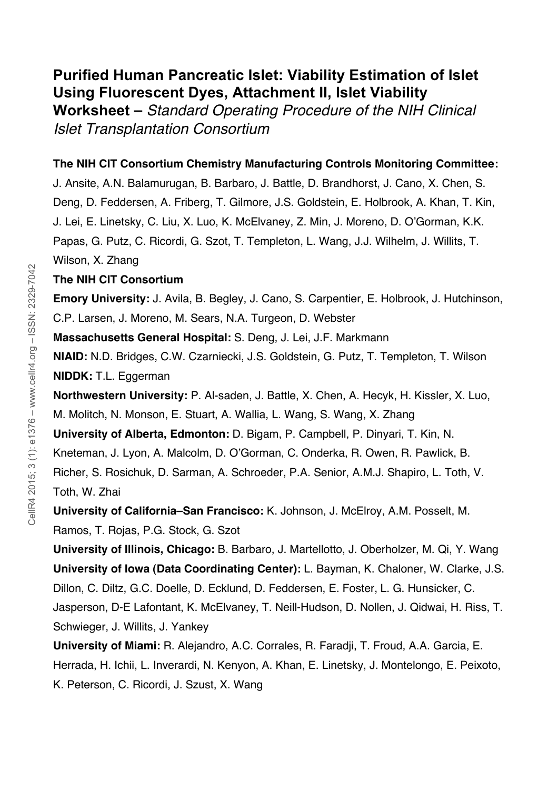## **Purified Human Pancreatic Islet: Viability Estimation of Islet Using Fluorescent Dyes, Attachment II, Islet Viability**

**Worksheet –** *Standard Operating Procedure of the NIH Clinical Islet Transplantation Consortium*

#### **The NIH CIT Consortium Chemistry Manufacturing Controls Monitoring Committee:**

J. Ansite, A.N. Balamurugan, B. Barbaro, J. Battle, D. Brandhorst, J. Cano, X. Chen, S. Deng, D. Feddersen, A. Friberg, T. Gilmore, J.S. Goldstein, E. Holbrook, A. Khan, T. Kin, J. Lei, E. Linetsky, C. Liu, X. Luo, K. McElvaney, Z. Min, J. Moreno, D. O'Gorman, K.K. Papas, G. Putz, C. Ricordi, G. Szot, T. Templeton, L. Wang, J.J. Wilhelm, J. Willits, T. Wilson, X. Zhang

#### **The NIH CIT Consortium**

**Emory University:** J. Avila, B. Begley, J. Cano, S. Carpentier, E. Holbrook, J. Hutchinson, C.P. Larsen, J. Moreno, M. Sears, N.A. Turgeon, D. Webster

**Massachusetts General Hospital:** S. Deng, J. Lei, J.F. Markmann

**NIAID:** N.D. Bridges, C.W. Czarniecki, J.S. Goldstein, G. Putz, T. Templeton, T. Wilson **NIDDK:** T.L. Eggerman

**Northwestern University:** P. Al-saden, J. Battle, X. Chen, A. Hecyk, H. Kissler, X. Luo, M. Molitch, N. Monson, E. Stuart, A. Wallia, L. Wang, S. Wang, X. Zhang

**University of Alberta, Edmonton:** D. Bigam, P. Campbell, P. Dinyari, T. Kin, N.

Kneteman, J. Lyon, A. Malcolm, D. O'Gorman, C. Onderka, R. Owen, R. Pawlick, B.

Richer, S. Rosichuk, D. Sarman, A. Schroeder, P.A. Senior, A.M.J. Shapiro, L. Toth, V. Toth, W. Zhai

**University of California–San Francisco:** K. Johnson, J. McElroy, A.M. Posselt, M. Ramos, T. Rojas, P.G. Stock, G. Szot

**University of Illinois, Chicago:** B. Barbaro, J. Martellotto, J. Oberholzer, M. Qi, Y. Wang **University of Iowa (Data Coordinating Center):** L. Bayman, K. Chaloner, W. Clarke, J.S. Dillon, C. Diltz, G.C. Doelle, D. Ecklund, D. Feddersen, E. Foster, L. G. Hunsicker, C. Jasperson, D-E Lafontant, K. McElvaney, T. Neill-Hudson, D. Nollen, J. Qidwai, H. Riss, T. Schwieger, J. Willits, J. Yankey

**University of Miami:** R. Alejandro, A.C. Corrales, R. Faradji, T. Froud, A.A. Garcia, E. Herrada, H. Ichii, L. Inverardi, N. Kenyon, A. Khan, E. Linetsky, J. Montelongo, E. Peixoto, K. Peterson, C. Ricordi, J. Szust, X. Wang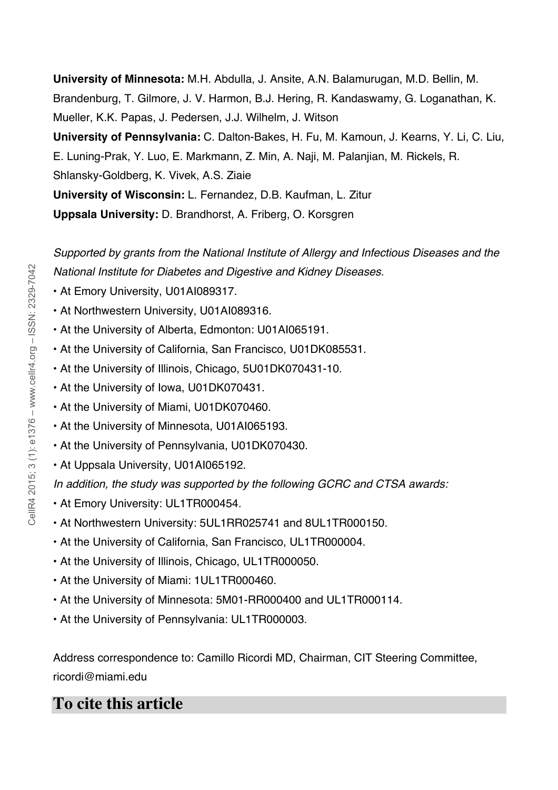**University of Minnesota:** M.H. Abdulla, J. Ansite, A.N. Balamurugan, M.D. Bellin, M. Brandenburg, T. Gilmore, J. V. Harmon, B.J. Hering, R. Kandaswamy, G. Loganathan, K. Mueller, K.K. Papas, J. Pedersen, J.J. Wilhelm, J. Witson **University of Pennsylvania:** C. Dalton-Bakes, H. Fu, M. Kamoun, J. Kearns, Y. Li, C. Liu, E. Luning-Prak, Y. Luo, E. Markmann, Z. Min, A. Naji, M. Palanjian, M. Rickels, R. Shlansky-Goldberg, K. Vivek, A.S. Ziaie **University of Wisconsin:** L. Fernandez, D.B. Kaufman, L. Zitur **Uppsala University:** D. Brandhorst, A. Friberg, O. Korsgren

*Supported by grants from the National Institute of Allergy and Infectious Diseases and the National Institute for Diabetes and Digestive and Kidney Diseases.*

- At Emory University, U01AI089317.
- At Northwestern University, U01AI089316.
- At the University of Alberta, Edmonton: U01AI065191.
- At the University of California, San Francisco, U01DK085531.
- At the University of Illinois, Chicago, 5U01DK070431-10.
- At the University of Iowa, U01DK070431.
- At the University of Miami, U01DK070460.
- At the University of Minnesota, U01AI065193.
- At the University of Pennsylvania, U01DK070430.
- At Uppsala University, U01AI065192.

*In addition, the study was supported by the following GCRC and CTSA awards:*

- At Emory University: UL1TR000454.
- At Northwestern University: 5UL1RR025741 and 8UL1TR000150.
- At the University of California, San Francisco, UL1TR000004.
- At the University of Illinois, Chicago, UL1TR000050.
- At the University of Miami: 1UL1TR000460.
- At the University of Minnesota: 5M01-RR000400 and UL1TR000114.
- At the University of Pennsylvania: UL1TR000003.

Address correspondence to: Camillo Ricordi MD, Chairman, CIT Steering Committee, ricordi@miami.edu

# **To cite this article**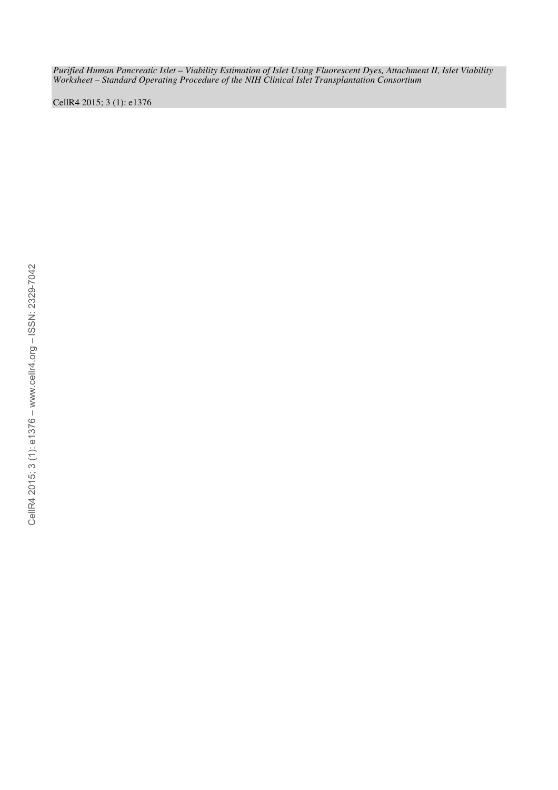*Purified Human Pancreatic Islet – Viability Estimation of Islet Using Fluorescent Dyes, Attachment II, Islet Viability Worksheet – Standard Operating Procedure of the NIH Clinical Islet Transplantation Consortium*

CellR4 2015; 3 (1): e1376